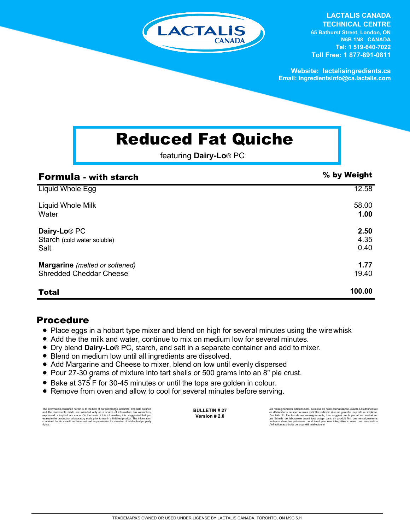

**LACTALIS CANADA TECHNICAL CENTRE**

**65 Bathurst Street, London, ON N6B 1N8 CANADA Tel: 1 519-640-7022 Toll Free: 1 877-891-0811**

**Website: lactalisingredients.ca Email: ingredientsinfo@ca.lactalis.com**

## Reduced Fat Quiche

featuring **Dairy-Lo**® PC

| <b>Formula - with starch</b>          | % by Weight |
|---------------------------------------|-------------|
| Liquid Whole Egg                      | 12.58       |
| Liquid Whole Milk                     | 58.00       |
| Water                                 | 1.00        |
| Dairy-Lo <sup>®</sup> PC              | 2.50        |
| Starch (cold water soluble)           | 4.35        |
| Salt                                  | 0.40        |
| <b>Margarine</b> (melted or softened) | 1.77        |
| <b>Shredded Cheddar Cheese</b>        | 19.40       |
| <b>Total</b>                          | 100.00      |

## Procedure

- Place eggs in a hobart type mixer and blend on high for several minutes using the wirewhisk
- Add the the milk and water, continue to mix on medium low for several minutes.
- = Dry blend **Dairy-Lo**® PC, starch, and salt in a separate container and add to mixer.
- Blend on medium low until all ingredients are dissolved.
- Add Margarine and Cheese to mixer, blend on low until evenly dispersed
- = Pour 27-30 grams of mixture into tart shells or 500 grams into an 8" pie crust.
- Bake at 375 F for 30-45 minutes or until the tops are golden in colour.
- Remove from oven and allow to cool for several minutes before serving.

The information contained herein is, to the best of our knowledge, accurate. The data cutlined the statements made are intended only as a source of information. No warranties, expressed or implied, are made. On the basis o

**BULLETIN # 27 Version # 2.0**

Les renseignements indiqués sont, au mieux de notre connaissance, exacts. Les données et<br>les déclarations ne sont fournies qu'à titre indicatif. Aucune garantie, explicite ou implicite,<br>riest faite. En fonction de ces rens